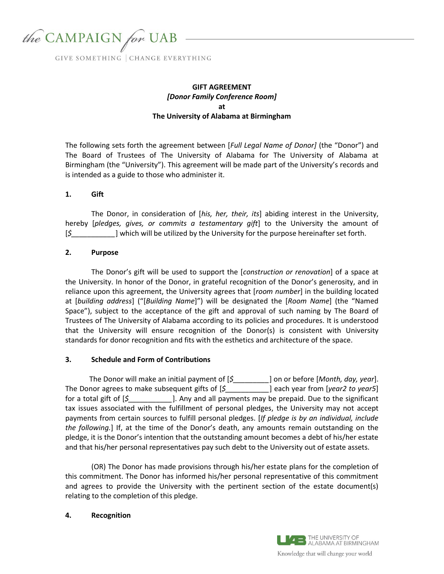

# **GIFT AGREEMENT** *[Donor Family Conference Room]* **at The University of Alabama at Birmingham**

The following sets forth the agreement between [*Full Legal Name of Donor]* (the "Donor") and The Board of Trustees of The University of Alabama for The University of Alabama at Birmingham (the "University"). This agreement will be made part of the University's records and is intended as a guide to those who administer it.

## **1. Gift**

The Donor, in consideration of [*his, her, their, its*] abiding interest in the University, hereby [*pledges, gives, or commits a testamentary gift*] to the University the amount of [*\$\_\_\_\_\_\_\_\_\_\_\_*] which will be utilized by the University for the purpose hereinafter set forth.

### **2. Purpose**

The Donor's gift will be used to support the [*construction or renovation*] of a space at the University. In honor of the Donor, in grateful recognition of the Donor's generosity, and in reliance upon this agreement, the University agrees that [*room number*] in the building located at [*building address*] ("[*Building Name*]") will be designated the [*Room Name*] (the "Named Space"), subject to the acceptance of the gift and approval of such naming by The Board of Trustees of The University of Alabama according to its policies and procedures. It is understood that the University will ensure recognition of the Donor(s) is consistent with University standards for donor recognition and fits with the esthetics and architecture of the space.

#### **3. Schedule and Form of Contributions**

The Donor will make an initial payment of [*\$\_\_\_\_\_\_\_\_\_*] on or before [*Month, day, year*]. The Donor agrees to make subsequent gifts of [*\$\_\_\_\_\_\_\_\_\_\_\_*] each year from [*year2 to year5*] for a total gift of [*\$\_\_\_\_\_\_\_\_\_\_\_*]. Any and all payments may be prepaid. Due to the significant tax issues associated with the fulfillment of personal pledges, the University may not accept payments from certain sources to fulfill personal pledges. [*If pledge is by an individual, include the following.*] If, at the time of the Donor's death, any amounts remain outstanding on the pledge, it is the Donor's intention that the outstanding amount becomes a debt of his/her estate and that his/her personal representatives pay such debt to the University out of estate assets.

(OR) The Donor has made provisions through his/her estate plans for the completion of this commitment. The Donor has informed his/her personal representative of this commitment and agrees to provide the University with the pertinent section of the estate document(s) relating to the completion of this pledge.

**4. Recognition**

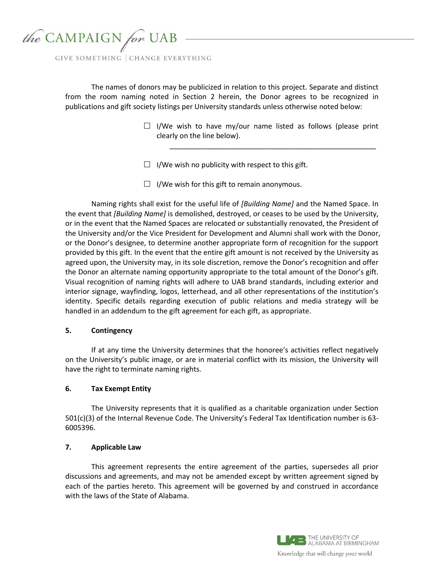

The names of donors may be publicized in relation to this project. Separate and distinct from the room naming noted in Section 2 herein, the Donor agrees to be recognized in publications and gift society listings per University standards unless otherwise noted below:

> $\Box$  I/We wish to have my/our name listed as follows (please print clearly on the line below).

> > \_\_\_\_\_\_\_\_\_\_\_\_\_\_\_\_\_\_\_\_\_\_\_\_\_\_\_\_\_\_\_\_\_\_\_\_\_\_\_\_\_\_\_\_\_\_\_\_\_\_\_\_

- $\Box$  I/We wish no publicity with respect to this gift.
- $\Box$  I/We wish for this gift to remain anonymous.

Naming rights shall exist for the useful life of *[Building Name]* and the Named Space. In the event that *[Building Name]* is demolished, destroyed, or ceases to be used by the University, or in the event that the Named Spaces are relocated or substantially renovated, the President of the University and/or the Vice President for Development and Alumni shall work with the Donor, or the Donor's designee, to determine another appropriate form of recognition for the support provided by this gift. In the event that the entire gift amount is not received by the University as agreed upon, the University may, in its sole discretion, remove the Donor's recognition and offer the Donor an alternate naming opportunity appropriate to the total amount of the Donor's gift. Visual recognition of naming rights will adhere to UAB brand standards, including exterior and interior signage, wayfinding, logos, letterhead, and all other representations of the institution's identity. Specific details regarding execution of public relations and media strategy will be handled in an addendum to the gift agreement for each gift, as appropriate.

#### **5. Contingency**

If at any time the University determines that the honoree's activities reflect negatively on the University's public image, or are in material conflict with its mission, the University will have the right to terminate naming rights.

#### **6. Tax Exempt Entity**

The University represents that it is qualified as a charitable organization under Section 501(c)(3) of the Internal Revenue Code. The University's Federal Tax Identification number is 63- 6005396.

### **7. Applicable Law**

This agreement represents the entire agreement of the parties, supersedes all prior discussions and agreements, and may not be amended except by written agreement signed by each of the parties hereto. This agreement will be governed by and construed in accordance with the laws of the State of Alabama.